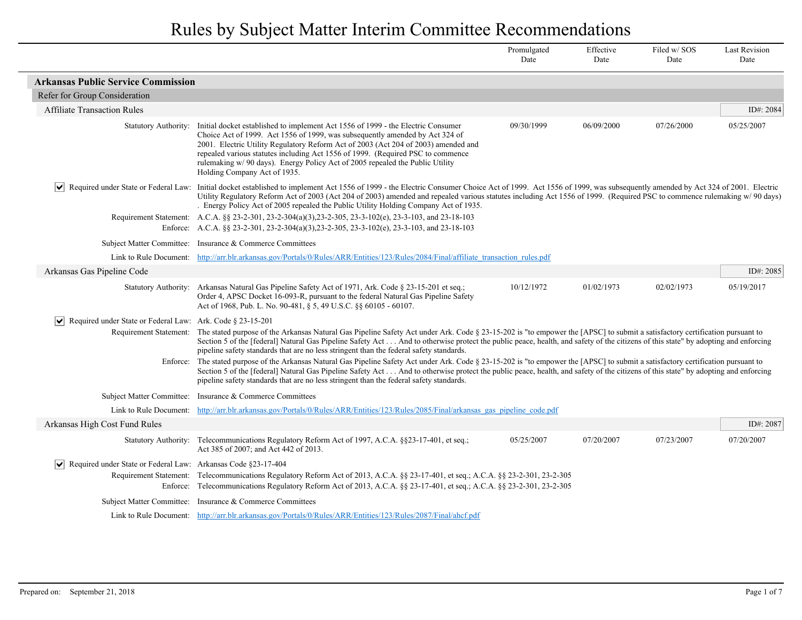|                                                                                                     |                                                                                                                                                                                                                                                                                                                                                                                                                                                                                                                                                                                                                                                                                                                                                                                                                                                                                                                                       | Promulgated<br>Date | Effective<br>Date | Filed w/SOS<br>Date | <b>Last Revision</b><br>Date |
|-----------------------------------------------------------------------------------------------------|---------------------------------------------------------------------------------------------------------------------------------------------------------------------------------------------------------------------------------------------------------------------------------------------------------------------------------------------------------------------------------------------------------------------------------------------------------------------------------------------------------------------------------------------------------------------------------------------------------------------------------------------------------------------------------------------------------------------------------------------------------------------------------------------------------------------------------------------------------------------------------------------------------------------------------------|---------------------|-------------------|---------------------|------------------------------|
| <b>Arkansas Public Service Commission</b>                                                           |                                                                                                                                                                                                                                                                                                                                                                                                                                                                                                                                                                                                                                                                                                                                                                                                                                                                                                                                       |                     |                   |                     |                              |
| Refer for Group Consideration                                                                       |                                                                                                                                                                                                                                                                                                                                                                                                                                                                                                                                                                                                                                                                                                                                                                                                                                                                                                                                       |                     |                   |                     |                              |
| <b>Affiliate Transaction Rules</b>                                                                  |                                                                                                                                                                                                                                                                                                                                                                                                                                                                                                                                                                                                                                                                                                                                                                                                                                                                                                                                       |                     |                   |                     | ID#: 2084                    |
| <b>Statutory Authority:</b>                                                                         | Initial docket established to implement Act 1556 of 1999 - the Electric Consumer<br>Choice Act of 1999. Act 1556 of 1999, was subsequently amended by Act 324 of<br>2001. Electric Utility Regulatory Reform Act of 2003 (Act 204 of 2003) amended and<br>repealed various statutes including Act 1556 of 1999. (Required PSC to commence<br>rulemaking w/ 90 days). Energy Policy Act of 2005 repealed the Public Utility<br>Holding Company Act of 1935.                                                                                                                                                                                                                                                                                                                                                                                                                                                                            | 09/30/1999          | 06/09/2000        | 07/26/2000          | 05/25/2007                   |
|                                                                                                     | Required under State or Federal Law: Initial docket established to implement Act 1556 of 1999 - the Electric Consumer Choice Act of 1999. Act 1556 of 1999, was subsequently amended by Act 324 of 2001. Electric<br>Utility Regulatory Reform Act of 2003 (Act 204 of 2003) amended and repealed various statutes including Act 1556 of 1999. (Required PSC to commence rulemaking w/90 days)<br>. Energy Policy Act of 2005 repealed the Public Utility Holding Company Act of 1935.<br>Requirement Statement: A.C.A. §§ 23-2-301, 23-2-304(a)(3), 23-2-305, 23-3-102(e), 23-3-103, and 23-18-103<br>Enforce: A.C.A. §§ 23-2-301, 23-2-304(a)(3), 23-2-305, 23-3-102(e), 23-3-103, and 23-18-103                                                                                                                                                                                                                                    |                     |                   |                     |                              |
|                                                                                                     | Subject Matter Committee: Insurance & Commerce Committees                                                                                                                                                                                                                                                                                                                                                                                                                                                                                                                                                                                                                                                                                                                                                                                                                                                                             |                     |                   |                     |                              |
|                                                                                                     | Link to Rule Document: http://arr.blr.arkansas.gov/Portals/0/Rules/ARR/Entities/123/Rules/2084/Final/affiliate transaction rules.pdf                                                                                                                                                                                                                                                                                                                                                                                                                                                                                                                                                                                                                                                                                                                                                                                                  |                     |                   |                     |                              |
| Arkansas Gas Pipeline Code                                                                          |                                                                                                                                                                                                                                                                                                                                                                                                                                                                                                                                                                                                                                                                                                                                                                                                                                                                                                                                       |                     |                   |                     | ID#: 2085                    |
| <b>Statutory Authority:</b>                                                                         | Arkansas Natural Gas Pipeline Safety Act of 1971, Ark. Code § 23-15-201 et seq.;<br>Order 4, APSC Docket 16-093-R, pursuant to the federal Natural Gas Pipeline Safety<br>Act of 1968, Pub. L. No. 90-481, § 5, 49 U.S.C. §§ 60105 - 60107.                                                                                                                                                                                                                                                                                                                                                                                                                                                                                                                                                                                                                                                                                           | 10/12/1972          | 01/02/1973        | 02/02/1973          | 05/19/2017                   |
| $ \mathbf{v} $ Required under State or Federal Law: Ark. Code § 23-15-201<br>Requirement Statement: | The stated purpose of the Arkansas Natural Gas Pipeline Safety Act under Ark. Code § 23-15-202 is "to empower the [APSC] to submit a satisfactory certification pursuant to<br>Section 5 of the [federal] Natural Gas Pipeline Safety Act  And to otherwise protect the public peace, health, and safety of the citizens of this state" by adopting and enforcing<br>pipeline safety standards that are no less stringent than the federal safety standards.<br>Enforce: The stated purpose of the Arkansas Natural Gas Pipeline Safety Act under Ark. Code § 23-15-202 is "to empower the [APSC] to submit a satisfactory certification pursuant to<br>Section 5 of the [federal] Natural Gas Pipeline Safety Act  And to otherwise protect the public peace, health, and safety of the citizens of this state" by adopting and enforcing<br>pipeline safety standards that are no less stringent than the federal safety standards. |                     |                   |                     |                              |
|                                                                                                     | Subject Matter Committee: Insurance & Commerce Committees                                                                                                                                                                                                                                                                                                                                                                                                                                                                                                                                                                                                                                                                                                                                                                                                                                                                             |                     |                   |                     |                              |
|                                                                                                     | Link to Rule Document: http://arr.blr.arkansas.gov/Portals/0/Rules/ARR/Entities/123/Rules/2085/Final/arkansas gas pipeline code.pdf                                                                                                                                                                                                                                                                                                                                                                                                                                                                                                                                                                                                                                                                                                                                                                                                   |                     |                   |                     |                              |
| Arkansas High Cost Fund Rules                                                                       |                                                                                                                                                                                                                                                                                                                                                                                                                                                                                                                                                                                                                                                                                                                                                                                                                                                                                                                                       |                     |                   |                     | ID#: 2087                    |
| <b>Statutory Authority:</b>                                                                         | Telecommunications Regulatory Reform Act of 1997, A.C.A. §§23-17-401, et seq.;<br>Act 385 of 2007; and Act 442 of 2013.                                                                                                                                                                                                                                                                                                                                                                                                                                                                                                                                                                                                                                                                                                                                                                                                               | 05/25/2007          | 07/20/2007        | 07/23/2007          | 07/20/2007                   |
| $\sqrt{\phantom{a}}$ Required under State or Federal Law: Arkansas Code §23-17-404                  | Requirement Statement: Telecommunications Regulatory Reform Act of 2013, A.C.A. §§ 23-17-401, et seq.; A.C.A. §§ 23-2-301, 23-2-305<br>Enforce: Telecommunications Regulatory Reform Act of 2013, A.C.A. §§ 23-17-401, et seq.; A.C.A. §§ 23-2-301, 23-2-305                                                                                                                                                                                                                                                                                                                                                                                                                                                                                                                                                                                                                                                                          |                     |                   |                     |                              |
|                                                                                                     | Subject Matter Committee: Insurance & Commerce Committees                                                                                                                                                                                                                                                                                                                                                                                                                                                                                                                                                                                                                                                                                                                                                                                                                                                                             |                     |                   |                     |                              |
|                                                                                                     | Link to Rule Document: http://arr.blr.arkansas.gov/Portals/0/Rules/ARR/Entities/123/Rules/2087/Final/ahcf.pdf                                                                                                                                                                                                                                                                                                                                                                                                                                                                                                                                                                                                                                                                                                                                                                                                                         |                     |                   |                     |                              |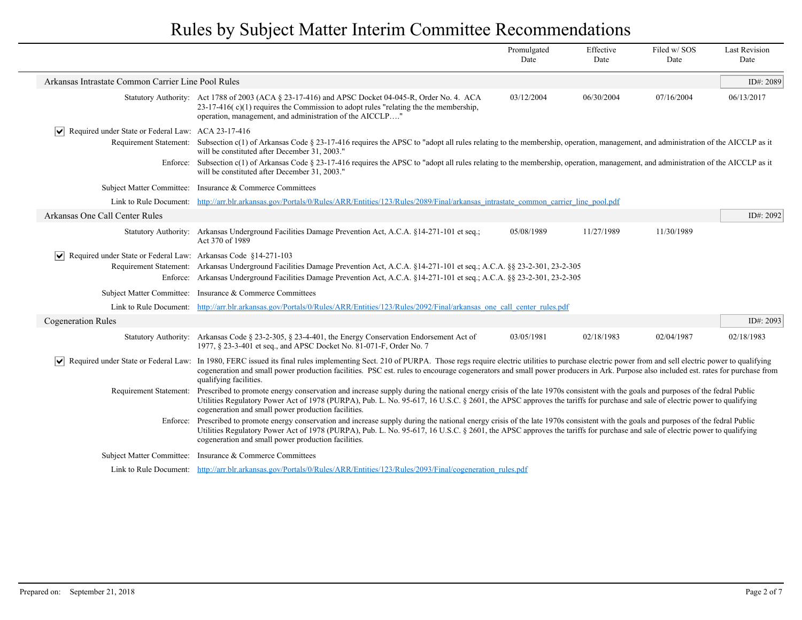|                                                                                                                                                                                                                                           |                                                                                                                                                                                                                                                                                                                                                                                                                                       | Promulgated<br>Date | Effective<br>Date | Filed w/SOS<br>Date | <b>Last Revision</b><br>Date |
|-------------------------------------------------------------------------------------------------------------------------------------------------------------------------------------------------------------------------------------------|---------------------------------------------------------------------------------------------------------------------------------------------------------------------------------------------------------------------------------------------------------------------------------------------------------------------------------------------------------------------------------------------------------------------------------------|---------------------|-------------------|---------------------|------------------------------|
| Arkansas Intrastate Common Carrier Line Pool Rules                                                                                                                                                                                        |                                                                                                                                                                                                                                                                                                                                                                                                                                       |                     |                   |                     | ID#: 2089                    |
|                                                                                                                                                                                                                                           | Statutory Authority: Act 1788 of 2003 (ACA § 23-17-416) and APSC Docket 04-045-R, Order No. 4. ACA<br>$23-17-416$ (c)(1) requires the Commission to adopt rules "relating the the membership,<br>operation, management, and administration of the AICCLP"                                                                                                                                                                             | 03/12/2004          | 06/30/2004        | 07/16/2004          | 06/13/2017                   |
| Required under State or Federal Law: ACA 23-17-416<br>$ \bm{\mathsf{v}} $                                                                                                                                                                 |                                                                                                                                                                                                                                                                                                                                                                                                                                       |                     |                   |                     |                              |
|                                                                                                                                                                                                                                           | Requirement Statement: Subsection c(1) of Arkansas Code § 23-17-416 requires the APSC to "adopt all rules relating to the membership, operation, management, and administration of the AICCLP as it<br>will be constituted after December 31, 2003."                                                                                                                                                                                  |                     |                   |                     |                              |
| Subsection c(1) of Arkansas Code § 23-17-416 requires the APSC to "adopt all rules relating to the membership, operation, management, and administration of the AICCLP as it<br>Enforce:<br>will be constituted after December 31, 2003." |                                                                                                                                                                                                                                                                                                                                                                                                                                       |                     |                   |                     |                              |
|                                                                                                                                                                                                                                           | Subject Matter Committee: Insurance & Commerce Committees                                                                                                                                                                                                                                                                                                                                                                             |                     |                   |                     |                              |
|                                                                                                                                                                                                                                           | Link to Rule Document: http://arr.blr.arkansas.gov/Portals/0/Rules/ARR/Entities/123/Rules/2089/Final/arkansas intrastate common carrier line pool.pdf                                                                                                                                                                                                                                                                                 |                     |                   |                     |                              |
| Arkansas One Call Center Rules                                                                                                                                                                                                            |                                                                                                                                                                                                                                                                                                                                                                                                                                       |                     |                   |                     | ID#: 2092                    |
|                                                                                                                                                                                                                                           | Statutory Authority: Arkansas Underground Facilities Damage Prevention Act, A.C.A. §14-271-101 et seq.;<br>Act 370 of 1989                                                                                                                                                                                                                                                                                                            | 05/08/1989          | 11/27/1989        | 11/30/1989          |                              |
| Required under State or Federal Law: Arkansas Code §14-271-103<br>$ \bm{\mathsf{v}} $                                                                                                                                                     | Requirement Statement: Arkansas Underground Facilities Damage Prevention Act, A.C.A. §14-271-101 et seq.; A.C.A. §§ 23-2-301, 23-2-305<br>Enforce: Arkansas Underground Facilities Damage Prevention Act, A.C.A. §14-271-101 et seq.; A.C.A. §§ 23-2-301, 23-2-305                                                                                                                                                                    |                     |                   |                     |                              |
|                                                                                                                                                                                                                                           | Subject Matter Committee: Insurance & Commerce Committees                                                                                                                                                                                                                                                                                                                                                                             |                     |                   |                     |                              |
|                                                                                                                                                                                                                                           | Link to Rule Document: http://arr.blr.arkansas.gov/Portals/0/Rules/ARR/Entities/123/Rules/2092/Final/arkansas one call center rules.pdf                                                                                                                                                                                                                                                                                               |                     |                   |                     |                              |
| <b>Cogeneration Rules</b>                                                                                                                                                                                                                 |                                                                                                                                                                                                                                                                                                                                                                                                                                       |                     |                   |                     | ID#: 2093                    |
|                                                                                                                                                                                                                                           | Statutory Authority: Arkansas Code § 23-2-305, § 23-4-401, the Energy Conservation Endorsement Act of<br>1977, § 23-3-401 et seq., and APSC Docket No. 81-071-F, Order No. 7                                                                                                                                                                                                                                                          | 03/05/1981          | 02/18/1983        | 02/04/1987          | 02/18/1983                   |
| $ \bm{\mathsf{v}} $                                                                                                                                                                                                                       | Required under State or Federal Law: In 1980, FERC issued its final rules implementing Sect. 210 of PURPA. Those regs require electric utilities to purchase electric power from and sell electric power to qualifying<br>cogeneration and small power production facilities. PSC est. rules to encourage cogenerators and small power producers in Ark. Purpose also included est. rates for purchase from<br>qualifying facilities. |                     |                   |                     |                              |
| Requirement Statement:                                                                                                                                                                                                                    | Prescribed to promote energy conservation and increase supply during the national energy crisis of the late 1970s consistent with the goals and purposes of the fedral Public<br>Utilities Regulatory Power Act of 1978 (PURPA), Pub. L. No. 95-617, 16 U.S.C. § 2601, the APSC approves the tariffs for purchase and sale of electric power to qualifying<br>cogeneration and small power production facilities.                     |                     |                   |                     |                              |
|                                                                                                                                                                                                                                           | Enforce: Prescribed to promote energy conservation and increase supply during the national energy crisis of the late 1970s consistent with the goals and purposes of the fedral Public<br>Utilities Regulatory Power Act of 1978 (PURPA), Pub. L. No. 95-617, 16 U.S.C. § 2601, the APSC approves the tariffs for purchase and sale of electric power to qualifying<br>cogeneration and small power production facilities.            |                     |                   |                     |                              |
|                                                                                                                                                                                                                                           | Subject Matter Committee: Insurance & Commerce Committees                                                                                                                                                                                                                                                                                                                                                                             |                     |                   |                     |                              |
|                                                                                                                                                                                                                                           | Link to Rule Document: http://arr.blr.arkansas.gov/Portals/0/Rules/ARR/Entities/123/Rules/2093/Final/cogeneration rules.pdf                                                                                                                                                                                                                                                                                                           |                     |                   |                     |                              |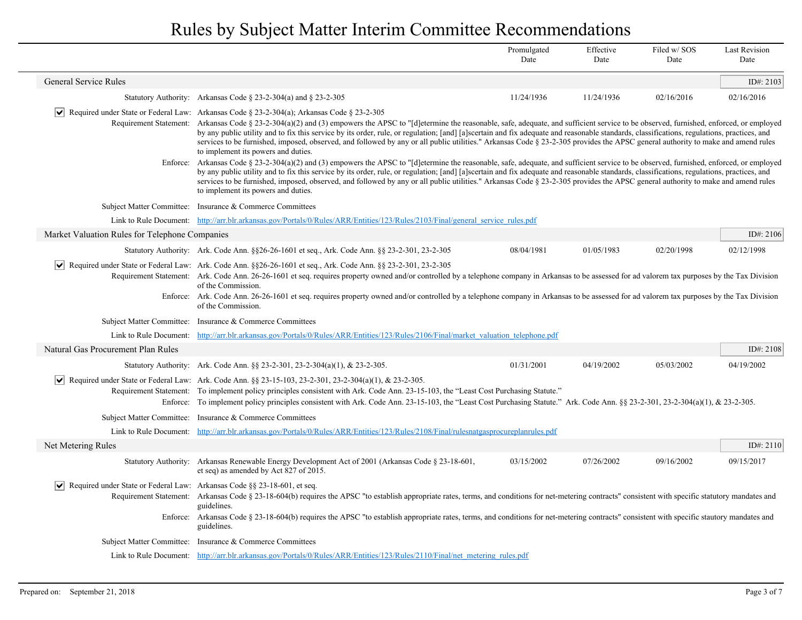|                                                                                            |                                                                                                                                                                                                                                                                                                                                                                                                                                                                                                                                                                                                                                                                                                                                                     | Promulgated<br>Date | Effective<br>Date | Filed w/SOS<br>Date | <b>Last Revision</b><br>Date |
|--------------------------------------------------------------------------------------------|-----------------------------------------------------------------------------------------------------------------------------------------------------------------------------------------------------------------------------------------------------------------------------------------------------------------------------------------------------------------------------------------------------------------------------------------------------------------------------------------------------------------------------------------------------------------------------------------------------------------------------------------------------------------------------------------------------------------------------------------------------|---------------------|-------------------|---------------------|------------------------------|
| General Service Rules                                                                      |                                                                                                                                                                                                                                                                                                                                                                                                                                                                                                                                                                                                                                                                                                                                                     |                     |                   |                     | ID#: $2103$                  |
|                                                                                            | Statutory Authority: Arkansas Code § 23-2-304(a) and § 23-2-305                                                                                                                                                                                                                                                                                                                                                                                                                                                                                                                                                                                                                                                                                     | 11/24/1936          | 11/24/1936        | 02/16/2016          | 02/16/2016                   |
|                                                                                            | $\blacktriangleright$ Required under State or Federal Law: Arkansas Code § 23-2-304(a); Arkansas Code § 23-2-305<br>Requirement Statement: Arkansas Code § 23-2-304(a)(2) and (3) empowers the APSC to "[d]etermine the reasonable, safe, adequate, and sufficient service to be observed, furnished, enforced, or employed<br>by any public utility and to fix this service by its order, rule, or regulation; [and] [a]scertain and fix adequate and reasonable standards, classifications, regulations, practices, and<br>services to be furnished, imposed, observed, and followed by any or all public utilities." Arkansas Code § 23-2-305 provides the APSC general authority to make and amend rules<br>to implement its powers and duties. |                     |                   |                     |                              |
| Enforce:                                                                                   | Arkansas Code § 23-2-304(a)(2) and (3) empowers the APSC to "[d]etermine the reasonable, safe, adequate, and sufficient service to be observed, furnished, enforced, or employed<br>by any public utility and to fix this service by its order, rule, or regulation; [and] [a]scertain and fix adequate and reasonable standards, classifications, regulations, practices, and<br>services to be furnished, imposed, observed, and followed by any or all public utilities." Arkansas Code § 23-2-305 provides the APSC general authority to make and amend rules<br>to implement its powers and duties.                                                                                                                                            |                     |                   |                     |                              |
|                                                                                            | Subject Matter Committee: Insurance & Commerce Committees                                                                                                                                                                                                                                                                                                                                                                                                                                                                                                                                                                                                                                                                                           |                     |                   |                     |                              |
|                                                                                            | Link to Rule Document: http://arr.blr.arkansas.gov/Portals/0/Rules/ARR/Entities/123/Rules/2103/Final/general service rules.pdf                                                                                                                                                                                                                                                                                                                                                                                                                                                                                                                                                                                                                      |                     |                   |                     |                              |
| Market Valuation Rules for Telephone Companies                                             |                                                                                                                                                                                                                                                                                                                                                                                                                                                                                                                                                                                                                                                                                                                                                     |                     |                   |                     | ID#: 2106                    |
|                                                                                            | Statutory Authority: Ark. Code Ann. §§26-26-1601 et seq., Ark. Code Ann. §§ 23-2-301, 23-2-305                                                                                                                                                                                                                                                                                                                                                                                                                                                                                                                                                                                                                                                      | 08/04/1981          | 01/05/1983        | 02/20/1998          | 02/12/1998                   |
| VI<br>Enforce:                                                                             | Required under State or Federal Law: Ark. Code Ann. §§26-26-1601 et seq., Ark. Code Ann. §§ 23-2-301, 23-2-305<br>Requirement Statement: Ark. Code Ann. 26-26-1601 et seq. requires property owned and/or controlled by a telephone company in Arkansas to be assessed for ad valorem tax purposes by the Tax Division<br>of the Commission.<br>Ark. Code Ann. 26-26-1601 et seq. requires property owned and/or controlled by a telephone company in Arkansas to be assessed for ad valorem tax purposes by the Tax Division<br>of the Commission.                                                                                                                                                                                                 |                     |                   |                     |                              |
|                                                                                            | Subject Matter Committee: Insurance & Commerce Committees                                                                                                                                                                                                                                                                                                                                                                                                                                                                                                                                                                                                                                                                                           |                     |                   |                     |                              |
|                                                                                            | Link to Rule Document: http://arr.blr.arkansas.gov/Portals/0/Rules/ARR/Entities/123/Rules/2106/Final/market valuation telephone.pdf                                                                                                                                                                                                                                                                                                                                                                                                                                                                                                                                                                                                                 |                     |                   |                     |                              |
| Natural Gas Procurement Plan Rules                                                         |                                                                                                                                                                                                                                                                                                                                                                                                                                                                                                                                                                                                                                                                                                                                                     |                     |                   |                     | ID#: 2108                    |
|                                                                                            | Statutory Authority: Ark. Code Ann. $\S$ 23-2-301, 23-2-304(a)(1), & 23-2-305.                                                                                                                                                                                                                                                                                                                                                                                                                                                                                                                                                                                                                                                                      | 01/31/2001          | 04/19/2002        | 05/03/2002          | 04/19/2002                   |
| VI                                                                                         | Required under State or Federal Law: Ark. Code Ann. §§ 23-15-103, 23-2-301, 23-2-304(a)(1), & 23-2-305.<br>Requirement Statement: To implement policy principles consistent with Ark. Code Ann. 23-15-103, the "Least Cost Purchasing Statute."<br>Enforce: To implement policy principles consistent with Ark. Code Ann. 23-15-103, the "Least Cost Purchasing Statute." Ark. Code Ann. §§ 23-2-301, 23-2-304(a)(1), & 23-2-305.                                                                                                                                                                                                                                                                                                                   |                     |                   |                     |                              |
| Subject Matter Committee:                                                                  | Insurance & Commerce Committees                                                                                                                                                                                                                                                                                                                                                                                                                                                                                                                                                                                                                                                                                                                     |                     |                   |                     |                              |
| Link to Rule Document:                                                                     | http://arr.blr.arkansas.gov/Portals/0/Rules/ARR/Entities/123/Rules/2108/Final/rulesnatgasprocureplanrules.pdf                                                                                                                                                                                                                                                                                                                                                                                                                                                                                                                                                                                                                                       |                     |                   |                     |                              |
| Net Metering Rules                                                                         |                                                                                                                                                                                                                                                                                                                                                                                                                                                                                                                                                                                                                                                                                                                                                     |                     |                   |                     | ID#: $2110$                  |
|                                                                                            | Statutory Authority: Arkansas Renewable Energy Development Act of 2001 (Arkansas Code § 23-18-601,<br>et seq) as amended by Act 827 of 2015.                                                                                                                                                                                                                                                                                                                                                                                                                                                                                                                                                                                                        | 03/15/2002          | 07/26/2002        | 09/16/2002          | 09/15/2017                   |
| $\triangleright$ Required under State or Federal Law: Arkansas Code § § 23-18-601, et seq. | Requirement Statement: Arkansas Code § 23-18-604(b) requires the APSC "to establish appropriate rates, terms, and conditions for net-metering contracts" consistent with specific statutory mandates and<br>guidelines.<br>Enforce: Arkansas Code § 23-18-604(b) requires the APSC "to establish appropriate rates, terms, and conditions for net-metering contracts" consistent with specific stautory mandates and<br>guidelines.                                                                                                                                                                                                                                                                                                                 |                     |                   |                     |                              |
|                                                                                            | Subject Matter Committee: Insurance & Commerce Committees                                                                                                                                                                                                                                                                                                                                                                                                                                                                                                                                                                                                                                                                                           |                     |                   |                     |                              |
|                                                                                            | Link to Rule Document: http://arr.blr.arkansas.gov/Portals/0/Rules/ARR/Entities/123/Rules/2110/Final/net metering rules.pdf                                                                                                                                                                                                                                                                                                                                                                                                                                                                                                                                                                                                                         |                     |                   |                     |                              |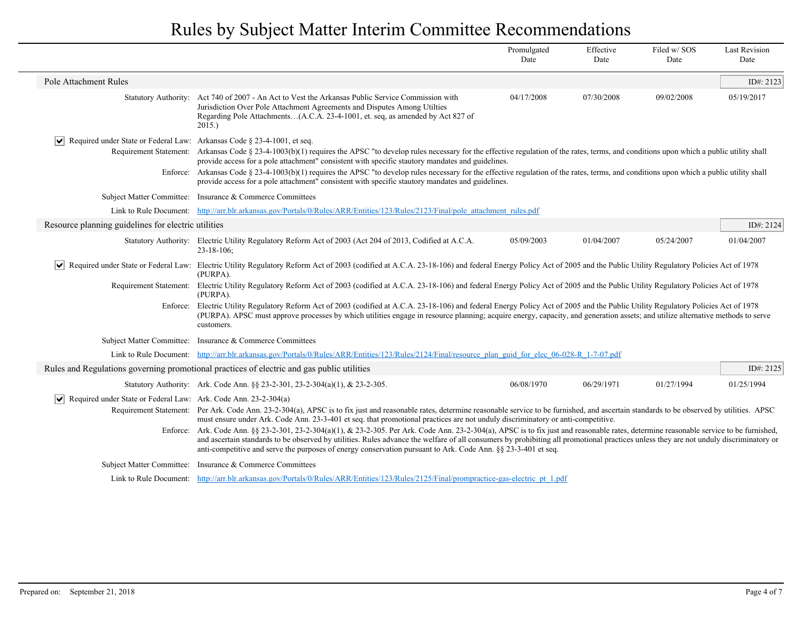|                                                                                        |                                                                                                                                                                                                                                                                                                                                                                                                                                                                                                                                                                                                                                                                                                                                                                                                                                                   | Promulgated<br>Date | Effective<br>Date | Filed w/SOS<br>Date | <b>Last Revision</b><br>Date |
|----------------------------------------------------------------------------------------|---------------------------------------------------------------------------------------------------------------------------------------------------------------------------------------------------------------------------------------------------------------------------------------------------------------------------------------------------------------------------------------------------------------------------------------------------------------------------------------------------------------------------------------------------------------------------------------------------------------------------------------------------------------------------------------------------------------------------------------------------------------------------------------------------------------------------------------------------|---------------------|-------------------|---------------------|------------------------------|
| Pole Attachment Rules                                                                  |                                                                                                                                                                                                                                                                                                                                                                                                                                                                                                                                                                                                                                                                                                                                                                                                                                                   |                     |                   |                     | ID#: 2123                    |
| <b>Statutory Authority:</b>                                                            | Act 740 of 2007 - An Act to Vest the Arkansas Public Service Commission with<br>Jurisdiction Over Pole Attachment Agreements and Disputes Among Utilties<br>Regarding Pole Attachments(A.C.A. 23-4-1001, et. seq, as amended by Act 827 of<br>2015.)                                                                                                                                                                                                                                                                                                                                                                                                                                                                                                                                                                                              | 04/17/2008          | 07/30/2008        | 09/02/2008          | 05/19/2017                   |
| $ \mathbf{v} $ Required under State or Federal Law: Arkansas Code § 23-4-1001, et seq. | Requirement Statement: Arkansas Code § 23-4-1003(b)(1) requires the APSC "to develop rules necessary for the effective regulation of the rates, terms, and conditions upon which a public utility shall<br>provide access for a pole attachment" consistent with specific stautory mandates and guidelines.<br>Enforce: Arkansas Code § 23-4-1003(b)(1) requires the APSC "to develop rules necessary for the effective regulation of the rates, terms, and conditions upon which a public utility shall<br>provide access for a pole attachment" consistent with specific stautory mandates and guidelines.                                                                                                                                                                                                                                      |                     |                   |                     |                              |
|                                                                                        | Subject Matter Committee: Insurance & Commerce Committees                                                                                                                                                                                                                                                                                                                                                                                                                                                                                                                                                                                                                                                                                                                                                                                         |                     |                   |                     |                              |
|                                                                                        | Link to Rule Document: http://arr.blr.arkansas.gov/Portals/0/Rules/ARR/Entities/123/Rules/2123/Final/pole attachment rules.pdf                                                                                                                                                                                                                                                                                                                                                                                                                                                                                                                                                                                                                                                                                                                    |                     |                   |                     |                              |
| Resource planning guidelines for electric utilities                                    |                                                                                                                                                                                                                                                                                                                                                                                                                                                                                                                                                                                                                                                                                                                                                                                                                                                   |                     |                   |                     | ID#: 2124                    |
|                                                                                        | Statutory Authority: Electric Utility Regulatory Reform Act of 2003 (Act 204 of 2013, Codified at A.C.A.<br>$23 - 18 - 106$ ;                                                                                                                                                                                                                                                                                                                                                                                                                                                                                                                                                                                                                                                                                                                     | 05/09/2003          | 01/04/2007        | 05/24/2007          | 01/04/2007                   |
| M                                                                                      | Required under State or Federal Law: Electric Utility Regulatory Reform Act of 2003 (codified at A.C.A. 23-18-106) and federal Energy Policy Act of 2005 and the Public Utility Regulatory Policies Act of 1978<br>(PURPA).                                                                                                                                                                                                                                                                                                                                                                                                                                                                                                                                                                                                                       |                     |                   |                     |                              |
|                                                                                        | Requirement Statement: Electric Utility Regulatory Reform Act of 2003 (codified at A.C.A. 23-18-106) and federal Energy Policy Act of 2005 and the Public Utility Regulatory Policies Act of 1978<br>(PURPA).                                                                                                                                                                                                                                                                                                                                                                                                                                                                                                                                                                                                                                     |                     |                   |                     |                              |
|                                                                                        | Enforce: Electric Utility Regulatory Reform Act of 2003 (codified at A.C.A. 23-18-106) and federal Energy Policy Act of 2005 and the Public Utility Regulatory Policies Act of 1978<br>(PURPA). APSC must approve processes by which utilities engage in resource planning; acquire energy, capacity, and generation assets; and utilize alternative methods to serve<br>customers.                                                                                                                                                                                                                                                                                                                                                                                                                                                               |                     |                   |                     |                              |
|                                                                                        | Subject Matter Committee: Insurance & Commerce Committees                                                                                                                                                                                                                                                                                                                                                                                                                                                                                                                                                                                                                                                                                                                                                                                         |                     |                   |                     |                              |
|                                                                                        | Link to Rule Document: http://arr.blr.arkansas.gov/Portals/0/Rules/ARR/Entities/123/Rules/2124/Final/resource plan guid for elec 06-028-R 1-7-07.pdf                                                                                                                                                                                                                                                                                                                                                                                                                                                                                                                                                                                                                                                                                              |                     |                   |                     |                              |
|                                                                                        | Rules and Regulations governing promotional practices of electric and gas public utilities                                                                                                                                                                                                                                                                                                                                                                                                                                                                                                                                                                                                                                                                                                                                                        |                     |                   |                     | ID#: 2125                    |
|                                                                                        | Statutory Authority: Ark. Code Ann. §§ 23-2-301, 23-2-304(a)(1), & 23-2-305.                                                                                                                                                                                                                                                                                                                                                                                                                                                                                                                                                                                                                                                                                                                                                                      | 06/08/1970          | 06/29/1971        | 01/27/1994          | 01/25/1994                   |
| $ \vee $ Required under State or Federal Law: Ark. Code Ann. 23-2-304(a)               | Requirement Statement: Per Ark. Code Ann. 23-2-304(a), APSC is to fix just and reasonable rates, determine reasonable service to be furnished, and ascertain standards to be observed by utilities. APSC<br>must ensure under Ark. Code Ann. 23-3-401 et seq. that promotional practices are not unduly discriminatory or anti-competitive.<br>Enforce: Ark. Code Ann. 88 23-2-301, 23-2-304(a)(1), & 23-2-305. Per Ark. Code Ann. 23-2-304(a), APSC is to fix just and reasonable rates, determine reasonable service to be furnished,<br>and ascertain standards to be observed by utilities. Rules advance the welfare of all consumers by prohibiting all promotional practices unless they are not unduly discriminatory or<br>anti-competitive and serve the purposes of energy conservation pursuant to Ark. Code Ann. §§ 23-3-401 et seq. |                     |                   |                     |                              |
|                                                                                        | Subject Matter Committee: Insurance & Commerce Committees                                                                                                                                                                                                                                                                                                                                                                                                                                                                                                                                                                                                                                                                                                                                                                                         |                     |                   |                     |                              |
|                                                                                        | Link to Rule Document: http://arr.blr.arkansas.gov/Portals/0/Rules/ARR/Entities/123/Rules/2125/Final/prompractice-gas-electric pt 1.pdf                                                                                                                                                                                                                                                                                                                                                                                                                                                                                                                                                                                                                                                                                                           |                     |                   |                     |                              |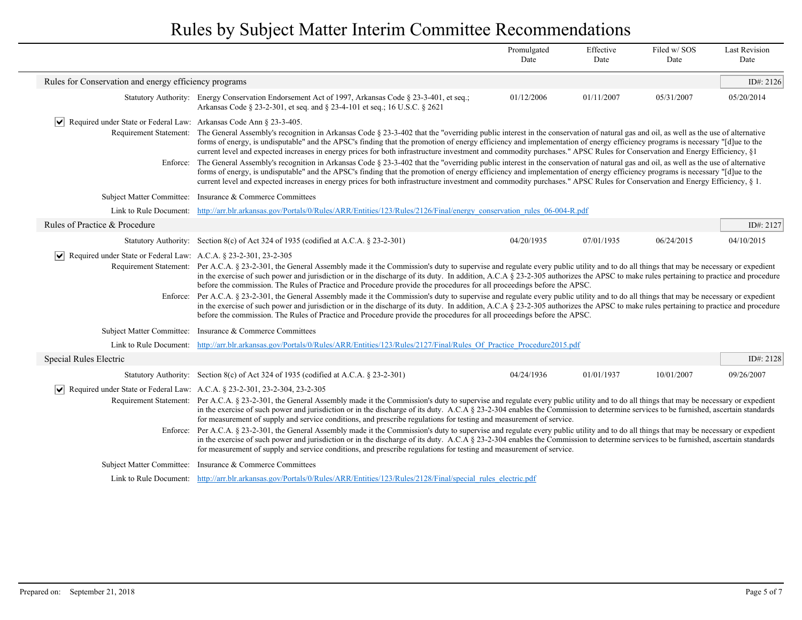|                                                                                            |                                                                                                                                                                                                                                                                                                                                                                                                                                                                                                                                                                      | Promulgated<br>Date | Effective<br>Date | Filed w/SOS<br>Date | <b>Last Revision</b><br>Date |  |  |  |
|--------------------------------------------------------------------------------------------|----------------------------------------------------------------------------------------------------------------------------------------------------------------------------------------------------------------------------------------------------------------------------------------------------------------------------------------------------------------------------------------------------------------------------------------------------------------------------------------------------------------------------------------------------------------------|---------------------|-------------------|---------------------|------------------------------|--|--|--|
| Rules for Conservation and energy efficiency programs                                      |                                                                                                                                                                                                                                                                                                                                                                                                                                                                                                                                                                      |                     |                   |                     | ID#: 2126                    |  |  |  |
|                                                                                            | Statutory Authority: Energy Conservation Endorsement Act of 1997, Arkansas Code § 23-3-401, et seq.;<br>Arkansas Code § 23-2-301, et seq. and § 23-4-101 et seq.; 16 U.S.C. § 2621                                                                                                                                                                                                                                                                                                                                                                                   | 01/12/2006          | 01/11/2007        | 05/31/2007          | 05/20/2014                   |  |  |  |
| $ \vee $ Required under State or Federal Law: Arkansas Code Ann § 23-3-405.                |                                                                                                                                                                                                                                                                                                                                                                                                                                                                                                                                                                      |                     |                   |                     |                              |  |  |  |
|                                                                                            | Requirement Statement: The General Assembly's recognition in Arkansas Code § 23-3-402 that the "overriding public interest in the conservation of natural gas and oil, as well as the use of alternative<br>forms of energy, is undisputable" and the APSC's finding that the promotion of energy efficiency and implementation of energy efficiency programs is necessary "[d]ue to the<br>current level and expected increases in energy prices for both infrastructure investment and commodity purchases." APSC Rules for Conservation and Energy Efficiency, §1 |                     |                   |                     |                              |  |  |  |
|                                                                                            | Enforce: The General Assembly's recognition in Arkansas Code § 23-3-402 that the "overriding public interest in the conservation of natural gas and oil, as well as the use of alternative<br>forms of energy, is undisputable" and the APSC's finding that the promotion of energy efficiency and implementation of energy efficiency programs is necessary "[d]ue to the<br>current level and expected increases in energy prices for both infrastructure investment and commodity purchases." APSC Rules for Conservation and Energy Efficiency, § 1.             |                     |                   |                     |                              |  |  |  |
| <b>Subject Matter Committee:</b>                                                           | Insurance & Commerce Committees                                                                                                                                                                                                                                                                                                                                                                                                                                                                                                                                      |                     |                   |                     |                              |  |  |  |
| Link to Rule Document:                                                                     | http://arr.blr.arkansas.gov/Portals/0/Rules/ARR/Entities/123/Rules/2126/Final/energy conservation rules 06-004-R.pdf                                                                                                                                                                                                                                                                                                                                                                                                                                                 |                     |                   |                     |                              |  |  |  |
| Rules of Practice & Procedure                                                              |                                                                                                                                                                                                                                                                                                                                                                                                                                                                                                                                                                      |                     |                   |                     | ID#: 2127                    |  |  |  |
|                                                                                            | Statutory Authority: Section 8(c) of Act 324 of 1935 (codified at A.C.A. § 23-2-301)                                                                                                                                                                                                                                                                                                                                                                                                                                                                                 | 04/20/1935          | 07/01/1935        | 06/24/2015          | 04/10/2015                   |  |  |  |
| $ \vee $<br>Required under State or Federal Law: A.C.A. § 23-2-301, 23-2-305               |                                                                                                                                                                                                                                                                                                                                                                                                                                                                                                                                                                      |                     |                   |                     |                              |  |  |  |
| Requirement Statement:                                                                     | Per A.C.A. § 23-2-301, the General Assembly made it the Commission's duty to supervise and regulate every public utility and to do all things that may be necessary or expedient<br>in the exercise of such power and jurisdiction or in the discharge of its duty. In addition, A.C.A § 23-2-305 authorizes the APSC to make rules pertaining to practice and procedure<br>before the commission. The Rules of Practice and Procedure provide the procedures for all proceedings before the APSC.                                                                   |                     |                   |                     |                              |  |  |  |
|                                                                                            | Enforce: Per A.C.A. § 23-2-301, the General Assembly made it the Commission's duty to supervise and regulate every public utility and to do all things that may be necessary or expedient<br>in the exercise of such power and jurisdiction or in the discharge of its duty. In addition, A.C.A § 23-2-305 authorizes the APSC to make rules pertaining to practice and procedure<br>before the commission. The Rules of Practice and Procedure provide the procedures for all proceedings before the APSC.                                                          |                     |                   |                     |                              |  |  |  |
| <b>Subject Matter Committee:</b>                                                           | Insurance & Commerce Committees                                                                                                                                                                                                                                                                                                                                                                                                                                                                                                                                      |                     |                   |                     |                              |  |  |  |
|                                                                                            | Link to Rule Document: http://arr.blr.arkansas.gov/Portals/0/Rules/ARR/Entities/123/Rules/2127/Final/Rules Of Practice Procedure2015.pdf                                                                                                                                                                                                                                                                                                                                                                                                                             |                     |                   |                     |                              |  |  |  |
| Special Rules Electric                                                                     |                                                                                                                                                                                                                                                                                                                                                                                                                                                                                                                                                                      |                     |                   |                     | ID#: $2128$                  |  |  |  |
|                                                                                            | Statutory Authority: Section 8(c) of Act 324 of 1935 (codified at A.C.A. $\S$ 23-2-301)                                                                                                                                                                                                                                                                                                                                                                                                                                                                              | 04/24/1936          | 01/01/1937        | 10/01/2007          | 09/26/2007                   |  |  |  |
| $\triangledown$ Required under State or Federal Law: A.C.A. § 23-2-301, 23-2-304, 23-2-305 |                                                                                                                                                                                                                                                                                                                                                                                                                                                                                                                                                                      |                     |                   |                     |                              |  |  |  |
|                                                                                            | Requirement Statement: Per A.C.A. § 23-2-301, the General Assembly made it the Commission's duty to supervise and regulate every public utility and to do all things that may be necessary or expedient<br>in the exercise of such power and jurisdiction or in the discharge of its duty. A.C.A § 23-2-304 enables the Commission to determine services to be furnished, ascertain standards<br>for measurement of supply and service conditions, and prescribe regulations for testing and measurement of service.                                                 |                     |                   |                     |                              |  |  |  |
|                                                                                            | Enforce: Per A.C.A. § 23-2-301, the General Assembly made it the Commission's duty to supervise and regulate every public utility and to do all things that may be necessary or expedient<br>in the exercise of such power and jurisdiction or in the discharge of its duty. A.C.A § 23-2-304 enables the Commission to determine services to be furnished, ascertain standards<br>for measurement of supply and service conditions, and prescribe regulations for testing and measurement of service.                                                               |                     |                   |                     |                              |  |  |  |
| <b>Subject Matter Committee:</b>                                                           | Insurance & Commerce Committees                                                                                                                                                                                                                                                                                                                                                                                                                                                                                                                                      |                     |                   |                     |                              |  |  |  |
|                                                                                            | Link to Rule Document: http://arr.blr.arkansas.gov/Portals/0/Rules/ARR/Entities/123/Rules/2128/Final/special rules electric.pdf                                                                                                                                                                                                                                                                                                                                                                                                                                      |                     |                   |                     |                              |  |  |  |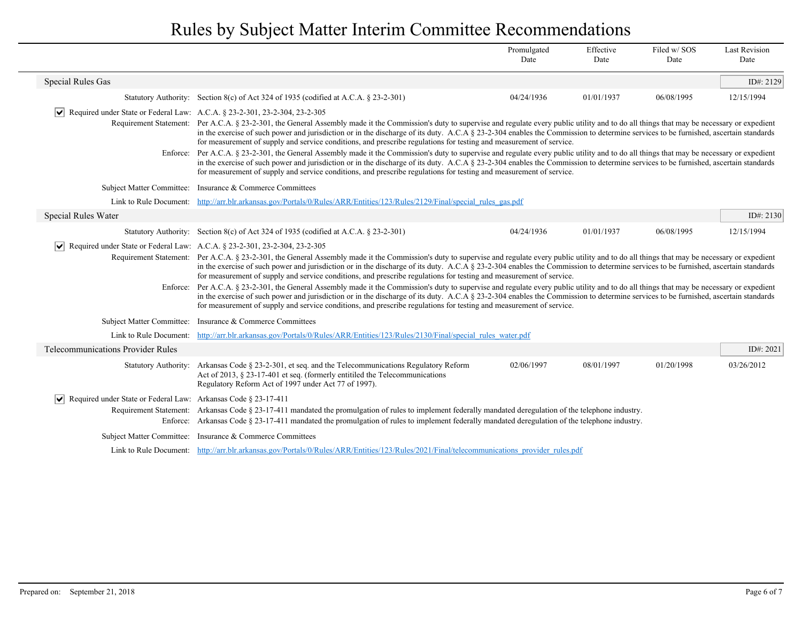|                                                                                     |                                                                                                                                                                                                                                                                                                                                                                                                                                                                                                                                                                                                                                                                                                                                                                                                                                                                                                                                                                                                                                | Promulgated<br>Date                                                                                                                                                                                                                                                                                                                                                                                                                                                                                                  | Effective<br>Date | Filed w/SOS<br>Date | <b>Last Revision</b><br>Date |
|-------------------------------------------------------------------------------------|--------------------------------------------------------------------------------------------------------------------------------------------------------------------------------------------------------------------------------------------------------------------------------------------------------------------------------------------------------------------------------------------------------------------------------------------------------------------------------------------------------------------------------------------------------------------------------------------------------------------------------------------------------------------------------------------------------------------------------------------------------------------------------------------------------------------------------------------------------------------------------------------------------------------------------------------------------------------------------------------------------------------------------|----------------------------------------------------------------------------------------------------------------------------------------------------------------------------------------------------------------------------------------------------------------------------------------------------------------------------------------------------------------------------------------------------------------------------------------------------------------------------------------------------------------------|-------------------|---------------------|------------------------------|
| <b>Special Rules Gas</b>                                                            |                                                                                                                                                                                                                                                                                                                                                                                                                                                                                                                                                                                                                                                                                                                                                                                                                                                                                                                                                                                                                                |                                                                                                                                                                                                                                                                                                                                                                                                                                                                                                                      |                   |                     | ID#: 2129                    |
|                                                                                     | Statutory Authority: Section 8(c) of Act 324 of 1935 (codified at A.C.A. § 23-2-301)                                                                                                                                                                                                                                                                                                                                                                                                                                                                                                                                                                                                                                                                                                                                                                                                                                                                                                                                           | 04/24/1936                                                                                                                                                                                                                                                                                                                                                                                                                                                                                                           | 01/01/1937        | 06/08/1995          | 12/15/1994                   |
| ∣V∣                                                                                 | Required under State or Federal Law: A.C.A. § 23-2-301, 23-2-304, 23-2-305                                                                                                                                                                                                                                                                                                                                                                                                                                                                                                                                                                                                                                                                                                                                                                                                                                                                                                                                                     |                                                                                                                                                                                                                                                                                                                                                                                                                                                                                                                      |                   |                     |                              |
|                                                                                     |                                                                                                                                                                                                                                                                                                                                                                                                                                                                                                                                                                                                                                                                                                                                                                                                                                                                                                                                                                                                                                | Requirement Statement: Per A.C.A. § 23-2-301, the General Assembly made it the Commission's duty to supervise and regulate every public utility and to do all things that may be necessary or expedient<br>in the exercise of such power and jurisdiction or in the discharge of its duty. A.C.A § 23-2-304 enables the Commission to determine services to be furnished, ascertain standards<br>for measurement of supply and service conditions, and prescribe regulations for testing and measurement of service. |                   |                     |                              |
| Enforce:                                                                            | Per A.C.A. § 23-2-301, the General Assembly made it the Commission's duty to supervise and regulate every public utility and to do all things that may be necessary or expedient<br>in the exercise of such power and jurisdiction or in the discharge of its duty. A.C.A § 23-2-304 enables the Commission to determine services to be furnished, ascertain standards<br>for measurement of supply and service conditions, and prescribe regulations for testing and measurement of service.                                                                                                                                                                                                                                                                                                                                                                                                                                                                                                                                  |                                                                                                                                                                                                                                                                                                                                                                                                                                                                                                                      |                   |                     |                              |
|                                                                                     | Subject Matter Committee: Insurance & Commerce Committees                                                                                                                                                                                                                                                                                                                                                                                                                                                                                                                                                                                                                                                                                                                                                                                                                                                                                                                                                                      |                                                                                                                                                                                                                                                                                                                                                                                                                                                                                                                      |                   |                     |                              |
|                                                                                     | Link to Rule Document: http://arr.blr.arkansas.gov/Portals/0/Rules/ARR/Entities/123/Rules/2129/Final/special rules gas.pdf                                                                                                                                                                                                                                                                                                                                                                                                                                                                                                                                                                                                                                                                                                                                                                                                                                                                                                     |                                                                                                                                                                                                                                                                                                                                                                                                                                                                                                                      |                   |                     |                              |
| Special Rules Water                                                                 |                                                                                                                                                                                                                                                                                                                                                                                                                                                                                                                                                                                                                                                                                                                                                                                                                                                                                                                                                                                                                                |                                                                                                                                                                                                                                                                                                                                                                                                                                                                                                                      |                   |                     | ID#: 2130                    |
|                                                                                     | Statutory Authority: Section 8(c) of Act 324 of 1935 (codified at A.C.A. § 23-2-301)                                                                                                                                                                                                                                                                                                                                                                                                                                                                                                                                                                                                                                                                                                                                                                                                                                                                                                                                           | 04/24/1936                                                                                                                                                                                                                                                                                                                                                                                                                                                                                                           | 01/01/1937        | 06/08/1995          | 12/15/1994                   |
| $ \vee $ Required under State or Federal Law: A.C.A. § 23-2-301, 23-2-304, 23-2-305 | Requirement Statement: Per A.C.A. § 23-2-301, the General Assembly made it the Commission's duty to supervise and regulate every public utility and to do all things that may be necessary or expedient<br>in the exercise of such power and jurisdiction or in the discharge of its duty. A.C.A § 23-2-304 enables the Commission to determine services to be furnished, ascertain standards<br>for measurement of supply and service conditions, and prescribe regulations for testing and measurement of service.<br>Enforce: Per A.C.A. § 23-2-301, the General Assembly made it the Commission's duty to supervise and regulate every public utility and to do all things that may be necessary or expedient<br>in the exercise of such power and jurisdiction or in the discharge of its duty. A.C.A § 23-2-304 enables the Commission to determine services to be furnished, ascertain standards<br>for measurement of supply and service conditions, and prescribe regulations for testing and measurement of service. |                                                                                                                                                                                                                                                                                                                                                                                                                                                                                                                      |                   |                     |                              |
| <b>Subject Matter Committee:</b>                                                    | Insurance & Commerce Committees                                                                                                                                                                                                                                                                                                                                                                                                                                                                                                                                                                                                                                                                                                                                                                                                                                                                                                                                                                                                |                                                                                                                                                                                                                                                                                                                                                                                                                                                                                                                      |                   |                     |                              |
|                                                                                     | Link to Rule Document: http://arr.blr.arkansas.gov/Portals/0/Rules/ARR/Entities/123/Rules/2130/Final/special rules water.pdf                                                                                                                                                                                                                                                                                                                                                                                                                                                                                                                                                                                                                                                                                                                                                                                                                                                                                                   |                                                                                                                                                                                                                                                                                                                                                                                                                                                                                                                      |                   |                     |                              |
| <b>Telecommunications Provider Rules</b>                                            |                                                                                                                                                                                                                                                                                                                                                                                                                                                                                                                                                                                                                                                                                                                                                                                                                                                                                                                                                                                                                                |                                                                                                                                                                                                                                                                                                                                                                                                                                                                                                                      |                   |                     | ID#: $2021$                  |
| <b>Statutory Authority:</b>                                                         | Arkansas Code § 23-2-301, et seq. and the Telecommunications Regulatory Reform<br>Act of 2013, § 23-17-401 et seq. (formerly entitled the Telecommunications<br>Regulatory Reform Act of 1997 under Act 77 of 1997).                                                                                                                                                                                                                                                                                                                                                                                                                                                                                                                                                                                                                                                                                                                                                                                                           | 02/06/1997                                                                                                                                                                                                                                                                                                                                                                                                                                                                                                           | 08/01/1997        | 01/20/1998          | 03/26/2012                   |
| $ \vee $ Required under State or Federal Law: Arkansas Code § 23-17-411             | Requirement Statement: Arkansas Code § 23-17-411 mandated the promulgation of rules to implement federally mandated deregulation of the telephone industry.<br>Enforce: Arkansas Code § 23-17-411 mandated the promulgation of rules to implement federally mandated deregulation of the telephone industry.                                                                                                                                                                                                                                                                                                                                                                                                                                                                                                                                                                                                                                                                                                                   |                                                                                                                                                                                                                                                                                                                                                                                                                                                                                                                      |                   |                     |                              |
|                                                                                     | Subject Matter Committee: Insurance & Commerce Committees                                                                                                                                                                                                                                                                                                                                                                                                                                                                                                                                                                                                                                                                                                                                                                                                                                                                                                                                                                      |                                                                                                                                                                                                                                                                                                                                                                                                                                                                                                                      |                   |                     |                              |
|                                                                                     | Link to Rule Document: http://arr.blr.arkansas.gov/Portals/0/Rules/ARR/Entities/123/Rules/2021/Final/telecommunications provider rules.pdf                                                                                                                                                                                                                                                                                                                                                                                                                                                                                                                                                                                                                                                                                                                                                                                                                                                                                     |                                                                                                                                                                                                                                                                                                                                                                                                                                                                                                                      |                   |                     |                              |